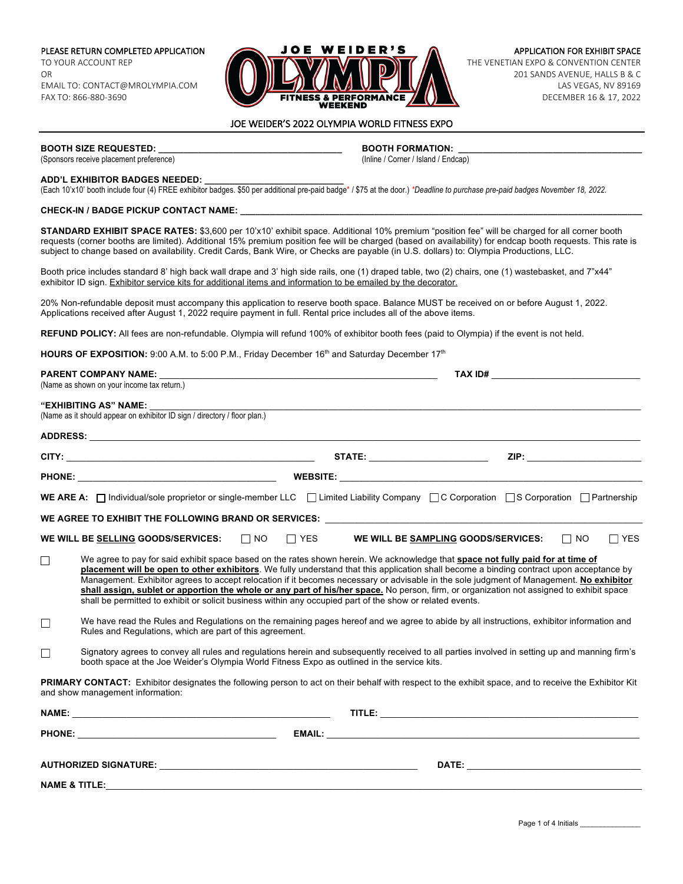PLEASE RETURN COMPLETED APPLICATION TO YOUR ACCOUNT REP OR EMAIL TO: CONTACT@MROLYMPIA.COM FAX TO: 866-880-3690



APPLICATION FOR EXHIBIT SPACE THE VENETIAN EXPO & CONVENTION CENTER 201 SANDS AVENUE, HALLS B & C LAS VEGAS, NV 89169 DECEMBER 16 & 17, 2022

### JOE WEIDER'S 2022 OLYMPIA WORLD FITNESS EXPO

(Sponsors receive placement preference)

**BOOTH SIZE REQUESTED: \_\_\_\_\_\_\_\_\_\_\_\_\_\_\_\_\_\_\_\_\_\_\_\_\_\_\_\_\_\_\_\_\_\_\_\_\_ BOOTH FORMATION: \_\_\_\_\_\_\_\_\_\_\_\_\_\_\_\_\_\_\_\_\_\_\_\_\_\_\_\_\_\_\_\_\_\_\_\_\_**

### **ADD'L EXHIBITOR BADGES NEEDED: \_\_\_\_\_\_\_\_\_\_\_\_\_\_\_\_\_\_\_\_\_\_\_\_\_\_\_\_**

(Each 10'x10' booth include four (4) FREE exhibitor badges. \$50 per additional pre-paid badge\* / \$75 at the door.) *\*Deadline to purchase pre-paid badges November 18, 2022.*

### **CHECK-IN / BADGE PICKUP CONTACT NAME: \_\_\_\_\_\_\_\_\_\_\_\_\_\_\_\_\_\_\_\_\_\_\_\_\_\_\_\_\_\_\_\_\_\_\_\_\_\_\_\_\_\_\_\_\_\_\_\_\_\_\_\_\_\_\_\_\_\_\_\_\_\_\_\_\_\_\_\_\_\_\_\_\_\_\_\_\_\_\_\_\_**

**STANDARD EXHIBIT SPACE RATES:** \$3,600 per 10'x10' exhibit space. Additional 10% premium "position fee" will be charged for all corner booth requests (corner booths are limited). Additional 15% premium position fee will be charged (based on availability) for endcap booth requests. This rate is subject to change based on availability. Credit Cards, Bank Wire, or Checks are payable (in U.S. dollars) to: Olympia Productions, LLC.

Booth price includes standard 8' high back wall drape and 3' high side rails, one (1) draped table, two (2) chairs, one (1) wastebasket, and 7"x44" exhibitor ID sign. Exhibitor service kits for additional items and information to be emailed by the decorator.

20% Non-refundable deposit must accompany this application to reserve booth space. Balance MUST be received on or before August 1, 2022. Applications received after August 1, 2022 require payment in full. Rental price includes all of the above items.

**REFUND POLICY:** All fees are non-refundable. Olympia will refund 100% of exhibitor booth fees (paid to Olympia) if the event is not held.

**HOURS OF EXPOSITION:** 9:00 A.M. to 5:00 P.M., Friday December 16<sup>th</sup> and Saturday December 17<sup>th</sup>

|                          | <b>PARENT COMPANY NAME:</b>                                                                                                                                                                                                                                                                                                                                                                                                                                                                                                                                                                                                                                                     |            |                                        |                                                                                                                                                                                                                                     |                         |
|--------------------------|---------------------------------------------------------------------------------------------------------------------------------------------------------------------------------------------------------------------------------------------------------------------------------------------------------------------------------------------------------------------------------------------------------------------------------------------------------------------------------------------------------------------------------------------------------------------------------------------------------------------------------------------------------------------------------|------------|----------------------------------------|-------------------------------------------------------------------------------------------------------------------------------------------------------------------------------------------------------------------------------------|-------------------------|
|                          | (Name as shown on your income tax return.)                                                                                                                                                                                                                                                                                                                                                                                                                                                                                                                                                                                                                                      |            |                                        |                                                                                                                                                                                                                                     |                         |
|                          | <b>"EXHIBITING AS" NAME:</b><br>(Name as it should appear on exhibitor ID sign / directory / floor plan.)                                                                                                                                                                                                                                                                                                                                                                                                                                                                                                                                                                       |            |                                        |                                                                                                                                                                                                                                     |                         |
|                          |                                                                                                                                                                                                                                                                                                                                                                                                                                                                                                                                                                                                                                                                                 |            |                                        |                                                                                                                                                                                                                                     |                         |
|                          |                                                                                                                                                                                                                                                                                                                                                                                                                                                                                                                                                                                                                                                                                 |            | <b>STATE:</b> ________________________ |                                                                                                                                                                                                                                     |                         |
|                          |                                                                                                                                                                                                                                                                                                                                                                                                                                                                                                                                                                                                                                                                                 |            |                                        |                                                                                                                                                                                                                                     |                         |
|                          | WE ARE A: $\Box$ Individual/sole proprietor or single-member LLC $\Box$ Limited Liability Company $\Box$ C Corporation $\Box$ S Corporation $\Box$ Partnership                                                                                                                                                                                                                                                                                                                                                                                                                                                                                                                  |            |                                        |                                                                                                                                                                                                                                     |                         |
|                          |                                                                                                                                                                                                                                                                                                                                                                                                                                                                                                                                                                                                                                                                                 |            |                                        |                                                                                                                                                                                                                                     |                         |
|                          | $\Box$ NO<br>WE WILL BE SELLING GOODS/SERVICES:                                                                                                                                                                                                                                                                                                                                                                                                                                                                                                                                                                                                                                 | $\Box$ YES |                                        | WE WILL BE SAMPLING GOODS/SERVICES:                                                                                                                                                                                                 | $\Box$ NO<br>$\Box$ YES |
| $\Box$                   | We agree to pay for said exhibit space based on the rates shown herein. We acknowledge that space not fully paid for at time of<br>placement will be open to other exhibitors. We fully understand that this application shall become a binding contract upon acceptance by<br>Management. Exhibitor agrees to accept relocation if it becomes necessary or advisable in the sole judgment of Management. No exhibitor<br>shall assign, sublet or apportion the whole or any part of his/her space. No person, firm, or organization not assigned to exhibit space<br>shall be permitted to exhibit or solicit business within any occupied part of the show or related events. |            |                                        |                                                                                                                                                                                                                                     |                         |
| $\Box$                   | We have read the Rules and Regulations on the remaining pages hereof and we agree to abide by all instructions, exhibitor information and<br>Rules and Regulations, which are part of this agreement.                                                                                                                                                                                                                                                                                                                                                                                                                                                                           |            |                                        |                                                                                                                                                                                                                                     |                         |
| П                        | Signatory agrees to convey all rules and regulations herein and subsequently received to all parties involved in setting up and manning firm's<br>booth space at the Joe Weider's Olympia World Fitness Expo as outlined in the service kits.                                                                                                                                                                                                                                                                                                                                                                                                                                   |            |                                        |                                                                                                                                                                                                                                     |                         |
|                          | PRIMARY CONTACT: Exhibitor designates the following person to act on their behalf with respect to the exhibit space, and to receive the Exhibitor Kit<br>and show management information:                                                                                                                                                                                                                                                                                                                                                                                                                                                                                       |            |                                        |                                                                                                                                                                                                                                     |                         |
|                          |                                                                                                                                                                                                                                                                                                                                                                                                                                                                                                                                                                                                                                                                                 |            |                                        |                                                                                                                                                                                                                                     |                         |
|                          |                                                                                                                                                                                                                                                                                                                                                                                                                                                                                                                                                                                                                                                                                 |            |                                        |                                                                                                                                                                                                                                     |                         |
|                          |                                                                                                                                                                                                                                                                                                                                                                                                                                                                                                                                                                                                                                                                                 |            |                                        | <b>DATE:</b> the contract of the contract of the contract of the contract of the contract of the contract of the contract of the contract of the contract of the contract of the contract of the contract of the contract of the co |                         |
| <b>NAME &amp; TITLE:</b> |                                                                                                                                                                                                                                                                                                                                                                                                                                                                                                                                                                                                                                                                                 |            |                                        |                                                                                                                                                                                                                                     |                         |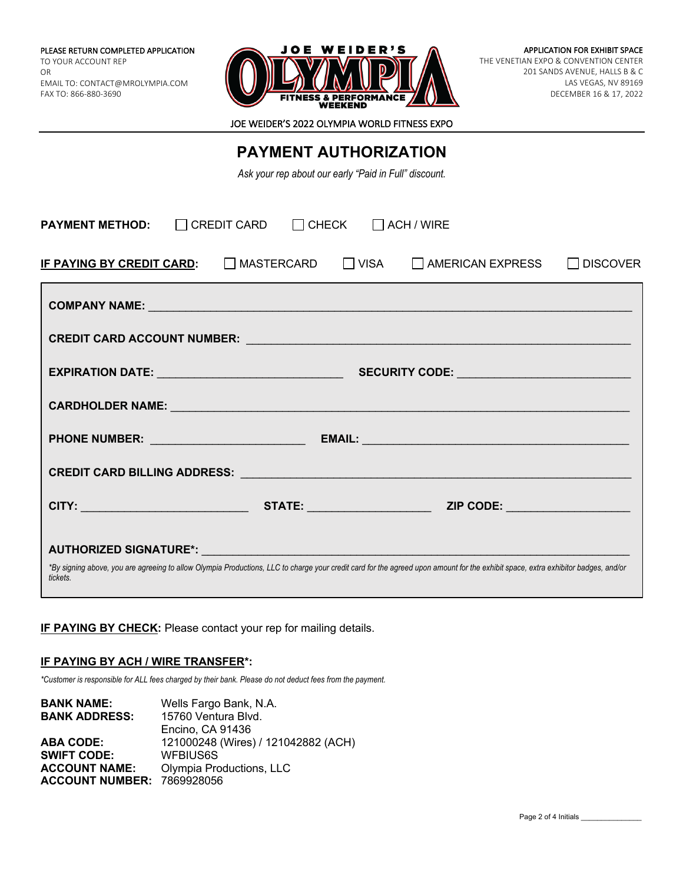

JOE WEIDER'S 2022 OLYMPIA WORLD FITNESS EXPO

# **PAYMENT AUTHORIZATION**

*Ask your rep about our early "Paid in Full" discount.*

| $\Box$ CHECK<br><b>PAYMENT METHOD:</b><br>$\Box$ CREDIT CARD<br>$\Box$ ACH / WIRE                                                                                                                                                |                               |  |                     |                 |  |  |  |
|----------------------------------------------------------------------------------------------------------------------------------------------------------------------------------------------------------------------------------|-------------------------------|--|---------------------|-----------------|--|--|--|
| IF PAYING BY CREDIT CARD:                                                                                                                                                                                                        | $\Box$ MASTERCARD $\Box$ VISA |  | I LAMERICAN EXPRESS | <b>DISCOVER</b> |  |  |  |
|                                                                                                                                                                                                                                  |                               |  |                     |                 |  |  |  |
|                                                                                                                                                                                                                                  |                               |  |                     |                 |  |  |  |
|                                                                                                                                                                                                                                  |                               |  |                     |                 |  |  |  |
|                                                                                                                                                                                                                                  |                               |  |                     |                 |  |  |  |
|                                                                                                                                                                                                                                  |                               |  |                     |                 |  |  |  |
| CREDIT CARD BILLING ADDRESS: University of the contract of the contract of the contract of the contract of the                                                                                                                   |                               |  |                     |                 |  |  |  |
|                                                                                                                                                                                                                                  |                               |  |                     |                 |  |  |  |
| AUTHORIZED SIGNATURE*: AUTHORIZED SIGNATURE<br>*By signing above, you are agreeing to allow Olympia Productions, LLC to charge your credit card for the agreed upon amount for the exhibit space, extra exhibitor badges, and/or |                               |  |                     |                 |  |  |  |
| tickets.                                                                                                                                                                                                                         |                               |  |                     |                 |  |  |  |

# **IF PAYING BY CHECK:** Please contact your rep for mailing details.

## **IF PAYING BY ACH / WIRE TRANSFER\*:**

*\*Customer is responsible for ALL fees charged by their bank. Please do not deduct fees from the payment.*

| <b>BANK NAME:</b>                 | Wells Fargo Bank, N.A.              |
|-----------------------------------|-------------------------------------|
| <b>BANK ADDRESS:</b>              | 15760 Ventura Blvd.                 |
|                                   | Encino. CA 91436                    |
| <b>ABA CODE:</b>                  | 121000248 (Wires) / 121042882 (ACH) |
| <b>SWIFT CODE:</b>                | WFBIUS6S                            |
| <b>ACCOUNT NAME:</b>              | Olympia Productions, LLC            |
| <b>ACCOUNT NUMBER: 7869928056</b> |                                     |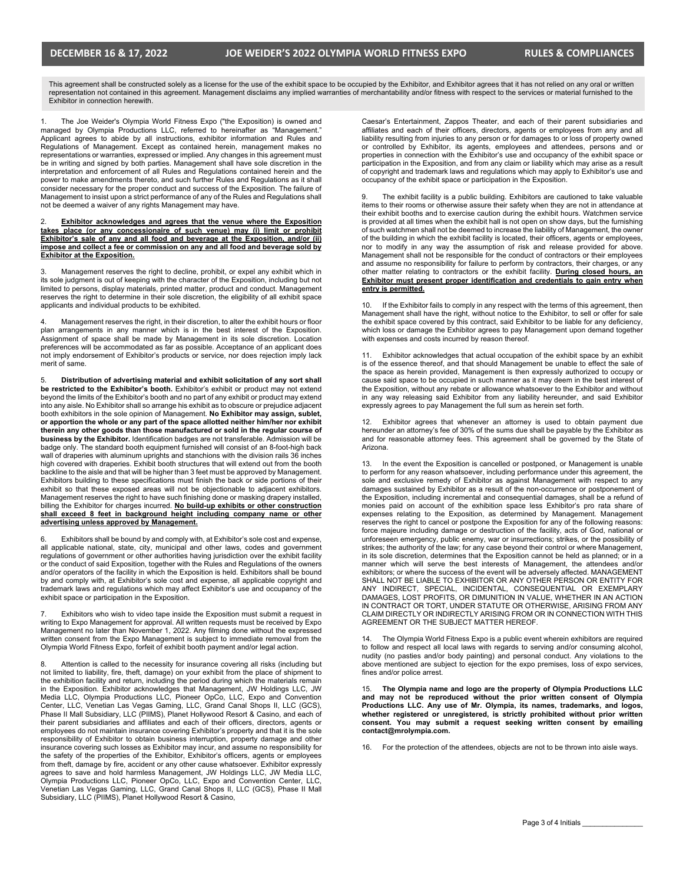This agreement shall be constructed solely as a license for the use of the exhibit space to be occupied by the Exhibitor, and Exhibitor agrees that it has not relied on any oral or written representation not contained in this agreement. Management disclaims any implied warranties of merchantability and/or fitness with respect to the services or material furnished to the Exhibitor in connection herewith.

1. The Joe Weider's Olympia World Fitness Expo ("the Exposition) is owned and managed by Olympia Productions LLC, referred to hereinafter as "Management." Applicant agrees to abide by all instructions, exhibitor information and Rules and Regulations of Management. Except as contained herein, management makes no representations or warranties, expressed or implied. Any changes in this agreement must be in writing and signed by both parties. Management shall have sole discretion in the interpretation and enforcement of all Rules and Regulations contained herein and the power to make amendments thereto, and such further Rules and Regulations as it shall consider necessary for the proper conduct and success of the Exposition. The failure of Management to insist upon a strict performance of any of the Rules and Regulations shall not be deemed a waiver of any rights Management may have.

#### **Exhibitor acknowledges and agrees that the venue where the Exposition takes place (or any concessionaire of such venue) may (i) limit or prohibit Exhibitor's sale of any and all food and beverage at the Exposition, and/or (ii) impose and collect a fee or commission on any and all food and beverage sold by Exhibitor at the Exposition.**

3. Management reserves the right to decline, prohibit, or expel any exhibit which in its sole judgment is out of keeping with the character of the Exposition, including but not limited to persons, display materials, printed matter, product and conduct. Management reserves the right to determine in their sole discretion, the eligibility of all exhibit space applicants and individual products to be exhibited.

4. Management reserves the right, in their discretion, to alter the exhibit hours or floor plan arrangements in any manner which is in the best interest of the Exposition. Assignment of space shall be made by Management in its sole discretion. Location preferences will be accommodated as far as possible. Acceptance of an applicant does not imply endorsement of Exhibitor's products or service, nor does rejection imply lack merit of same.

5. **Distribution of advertising material and exhibit solicitation of any sort shall be restricted to the Exhibitor's booth.** Exhibitor's exhibit or product may not extend beyond the limits of the Exhibitor's booth and no part of any exhibit or product may extend into any aisle. No Exhibitor shall so arrange his exhibit as to obscure or prejudice adjacent booth exhibitors in the sole opinion of Management. **No Exhibitor may assign, sublet, or apportion the whole or any part of the space allotted neither him/her nor exhibit therein any other goods than those manufactured or sold in the regular course of business by the Exhibitor.** Identification badges are not transferable. Admission will be badge only. The standard booth equipment furnished will consist of an 8-foot-high back wall of draperies with aluminum uprights and stanchions with the division rails 36 inches high covered with draperies. Exhibit booth structures that will extend out from the booth backline to the aisle and that will be higher than 3 feet must be approved by Management. Exhibitors building to these specifications must finish the back or side portions of their exhibit so that these exposed areas will not be objectionable to adjacent exhibitors. Management reserves the right to have such finishing done or masking drapery installed, billing the Exhibitor for charges incurred. **No build-up exhibits or other construction**  shall exceed 8 feet in background height including company name or other **advertising unless approved by Management.**

Exhibitors shall be bound by and comply with, at Exhibitor's sole cost and expense, all applicable national, state, city, municipal and other laws, codes and government regulations of government or other authorities having jurisdiction over the exhibit facility or the conduct of said Exposition, together with the Rules and Regulations of the owners and/or operators of the facility in which the Exposition is held. Exhibitors shall be bound by and comply with, at Exhibitor's sole cost and expense, all applicable copyright and trademark laws and regulations which may affect Exhibitor's use and occupancy of the exhibit space or participation in the Exposition.

Exhibitors who wish to video tape inside the Exposition must submit a request in writing to Expo Management for approval. All written requests must be received by Expo Management no later than November 1, 2022. Any filming done without the expressed written consent from the Expo Management is subject to immediate removal from the Olympia World Fitness Expo, forfeit of exhibit booth payment and/or legal action.

8. Attention is called to the necessity for insurance covering all risks (including but not limited to liability, fire, theft, damage) on your exhibit from the place of shipment to the exhibition facility and return, including the period during which the materials remain in the Exposition. Exhibitor acknowledges that Management, JW Holdings LLC, JW Media LLC, Olympia Productions LLC, Pioneer OpCo, LLC, Expo and Convention<br>Center, LLC, Venetian Las Vegas Gaming, LLC, Grand Canal Shops II, LLC (GCS),<br>Phase II Mall Subsidiary, LLC (PIIMS), Planet Hollywood Resort & Casi their parent subsidiaries and affiliates and each of their officers, directors, agents or employees do not maintain insurance covering Exhibitor's property and that it is the sole responsibility of Exhibitor to obtain business interruption, property damage and other insurance covering such losses as Exhibitor may incur, and assume no responsibility for the safety of the properties of the Exhibitor, Exhibitor's officers, agents or employees from theft, damage by fire, accident or any other cause whatsoever. Exhibitor expressly agrees to save and hold harmless Management, JW Holdings LLC, JW Media LLC, Olympia Productions LLC, Pioneer OpCo, LLC, Expo and Convention Center, LLC, Venetian Las Vegas Gaming, LLC, Grand Canal Shops II, LLC (GCS), Phase II Mall Subsidiary, LLC (PIIMS), Planet Hollywood Resort & Casino,

Caesar's Entertainment, Zappos Theater, and each of their parent subsidiaries and affiliates and each of their officers, directors, agents or employees from any and all liability resulting from injuries to any person or for damages to or loss of property owned or controlled by Exhibitor, its agents, employees and attendees, persons and or<br>properties in connection with the Exhibitor's use and occupancy of the exhibit space or<br>participation in the Exposition, and from any claim or of copyright and trademark laws and regulations which may apply to Exhibitor's use and occupancy of the exhibit space or participation in the Exposition.

9. The exhibit facility is a public building. Exhibitors are cautioned to take valuable items to their rooms or otherwise assure their safety when they are not in attendance at their exhibit booths and to exercise caution during the exhibit hours. Watchmen service is provided at all times when the exhibit hall is not open on show days, but the furnishing of such watchmen shall not be deemed to increase the liability of Management, the owner of the building in which the exhibit facility is located, their officers, agents or employees, nor to modify in any way the assumption of risk and release provided for above. Management shall not be responsible for the conduct of contractors or their employees and assume no responsibility for failure to perform by contractors, their charges, or any other matter relating to contractors or the exhibit facility. **During closed hours, an Exhibitor must present proper identification and credentials to gain entry when entry is permitted.**

If the Exhibitor fails to comply in any respect with the terms of this agreement, then Management shall have the right, without notice to the Exhibitor, to sell or offer for sale the exhibit space covered by this contract, said Exhibitor to be liable for any deficiency, which loss or damage the Exhibitor agrees to pay Management upon demand together with expenses and costs incurred by reason thereof.

Exhibitor acknowledges that actual occupation of the exhibit space by an exhibit is of the essence thereof, and that should Management be unable to effect the sale of the space as herein provided, Management is then expressly authorized to occupy or cause said space to be occupied in such manner as it may deem in the best interest of the Exposition, without any rebate or allowance whatsoever to the Exhibitor and without in any way releasing said Exhibitor from any liability hereunder, and said Exhibitor expressly agrees to pay Management the full sum as herein set forth.

Exhibitor agrees that whenever an attorney is used to obtain payment due hereunder an attorney's fee of 30% of the sums due shall be payable by the Exhibitor as and for reasonable attorney fees. This agreement shall be governed by the State of Arizona.

13. In the event the Exposition is cancelled or postponed, or Management is unable to perform for any reason whatsoever, including performance under this agreement, the sole and exclusive remedy of Exhibitor as against Management with respect to any damages sustained by Exhibitor as a result of the non-occurrence or postponement of the Exposition, including incremental and consequential damages, shall be a refund of monies paid on account of the exhibition space less Exhibitor's pro rata share of expenses relating to the Exposition, as determined by Management. Management reserves the right to cancel or postpone the Exposition for any of the following reasons: force majeure including damage or destruction of the facility, acts of God, national or unforeseen emergency, public enemy, war or insurrections; strikes, or the possibility of strikes; the authority of the law; for any case beyond their control or where Management, in its sole discretion, determines that the Exposition cannot be held as planned; or in a manner which will serve the best interests of Management, the attendees and/or exhibitors; or where the success of the event will be adversely affected. MANAGEMENT SHALL NOT BE LIABLE TO EXHIBITOR OR ANY OTHER PERSON OR ENTITY FOR ANY INDIRECT, SPECIAL, INCIDENTAL, CONSEQUENTIAL OR EXEMPLARY DAMAGES, LOST PROFITS, OR DIMUNITION IN VALUE, WHETHER IN AN ACTION IN CONTRACT OR TORT, UNDER STATUTE OR OTHERWISE, ARISING FROM ANY CLAIM DIRECTLY OR INDIRECTLY ARISING FROM OR IN CONNECTION WITH THIS AGREEMENT OR THE SUBJECT MATTER HEREOF.

The Olympia World Fitness Expo is a public event wherein exhibitors are required to follow and respect all local laws with regards to serving and/or consuming alcohol, nudity (no pasties and/or body painting) and personal conduct. Any violations to the above mentioned are subject to ejection for the expo premises, loss of expo services, fines and/or police arrest.

15. **The Olympia name and logo are the property of Olympia Productions LLC and may not be reproduced without the prior written consent of Olympia Productions LLC. Any use of Mr. Olympia, its names, trademarks, and logos, whether registered or unregistered, is strictly prohibited without prior written consent. You may submit a request seeking written consent by emailing contact@mrolympia.com.**

16. For the protection of the attendees, objects are not to be thrown into aisle ways.